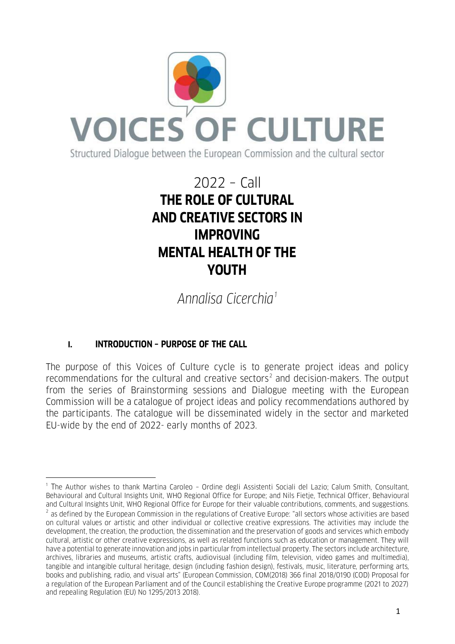

# 2022 – Call **THE ROLE OF CULTURAL AND CREATIVE SECTORS IN IMPROVING MENTAL HEALTH OF THE YOUTH**

*Annalisa Cicerchia[1](#page-0-0)*

## **I. INTRODUCTION – PURPOSE OF THE CALL**

 $\ddot{\phantom{a}}$ 

The purpose of this Voices of Culture cycle is to generate project ideas and policy recommendations for the cultural and creative sectors<sup>[2](#page-0-1)</sup> and decision-makers. The output from the series of Brainstorming sessions and Dialogue meeting with the European Commission will be a catalogue of project ideas and policy recommendations authored by the participants. The catalogue will be disseminated widely in the sector and marketed EU-wide by the end of 2022- early months of 2023.

<span id="page-0-1"></span><span id="page-0-0"></span><sup>1</sup> The Author wishes to thank Martina Caroleo – Ordine degli Assistenti Sociali del Lazio; Calum Smith, Consultant, Behavioural and Cultural Insights Unit, WHO Regional Office for Europe; and Nils Fietje, Technical Officer, Behavioural and Cultural Insights Unit, WHO Regional Office for Europe for their valuable contributions, comments, and suggestions. <sup>2</sup> as defined by the European Commission in the regulations of Creative Europe: "all sectors whose activities are based on cultural values or artistic and other individual or collective creative expressions. The activities may include the development, the creation, the production, the dissemination and the preservation of goods and services which embody cultural, artistic or other creative expressions, as well as related functions such as education or management. They will have a potential to generate innovation and jobs in particular from intellectual property. The sectors include architecture, archives, libraries and museums, artistic crafts, audiovisual (including film, television, video games and multimedia), tangible and intangible cultural heritage, design (including fashion design), festivals, music, literature, performing arts, books and publishing, radio, and visual arts" (European Commission, COM(2018) 366 final 2018/0190 (COD) Proposal for a regulation of the European Parliament and of the Council establishing the Creative Europe programme (2021 to 2027) and repealing Regulation (EU) No 1295/2013 2018).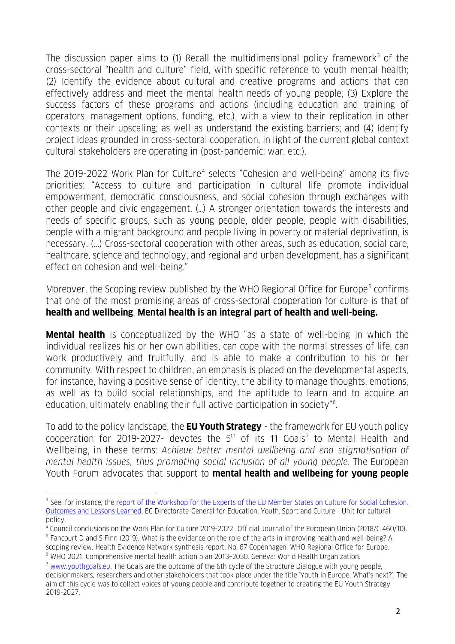The discussion paper aims to (1) Recall the multidimensional policy framework<sup>[3](#page-1-0)</sup> of the cross-sectoral "health and culture" field, with specific reference to youth mental health; (2) Identify the evidence about cultural and creative programs and actions that can effectively address and meet the mental health needs of young people; (3) Explore the success factors of these programs and actions (including education and training of operators, management options, funding, etc.), with a view to their replication in other contexts or their upscaling; as well as understand the existing barriers; and (4) Identify project ideas grounded in cross-sectoral cooperation, in light of the current global context cultural stakeholders are operating in (post-pandemic; war, etc.).

The 2019-2022 Work Plan for Culture<sup>[4](#page-1-1)</sup> selects "Cohesion and well-being" among its five priorities: "Access to culture and participation in cultural life promote individual empowerment, democratic consciousness, and social cohesion through exchanges with other people and civic engagement. (…) A stronger orientation towards the interests and needs of specific groups, such as young people, older people, people with disabilities, people with a migrant background and people living in poverty or material deprivation, is necessary. (...) Cross-sectoral cooperation with other areas, such as education, social care, healthcare, science and technology, and regional and urban development, has a significant effect on cohesion and well-being."

Moreover, the Scoping review published by the WHO Regional Office for Europe<sup>[5](#page-1-2)</sup> confirms that one of the most promising areas of cross-sectoral cooperation for culture is that of **health and wellbeing**. **Mental health is an integral part of health and well-being.**

**Mental health** is conceptualized by the WHO "as a state of well-being in which the individual realizes his or her own abilities, can cope with the normal stresses of life, can work productively and fruitfully, and is able to make a contribution to his or her community. With respect to children, an emphasis is placed on the developmental aspects, for instance, having a positive sense of identity, the ability to manage thoughts, emotions, as well as to build social relationships, and the aptitude to learn and to acquire an education, ultimately enabling their full active participation in society"[6](#page-1-3) .

To add to the policy landscape, the **EU Youth Strategy** - the framework for EU youth policy cooperation for 2019-202[7](#page-1-4)- devotes the  $5<sup>th</sup>$  of its 11 Goals<sup>7</sup> to Mental Health and Wellbeing, in these terms: *Achieve better mental wellbeing and end stigmatisation of mental health issues, thus promoting social inclusion of all young people.* The European Youth Forum advocates that support to **mental health and wellbeing for young people**

 $\overline{a}$ 

<span id="page-1-0"></span><sup>&</sup>lt;sup>3</sup> See, for instance, the [report of the Workshop for the Experts of the EU](https://culture.ec.europa.eu/document/report-workshop-for-eu-experts-on-culture-for-social-cohesion) Member States on Culture for Social Cohesion. [Outcomes and Lessons Learned,](https://culture.ec.europa.eu/document/report-workshop-for-eu-experts-on-culture-for-social-cohesion) EC Directorate-General for Education, Youth, Sport and Culture - Unit for cultural policy.

<span id="page-1-2"></span><span id="page-1-1"></span><sup>4</sup> Council conclusions on the Work Plan for Culture 2019-2022. Official Journal of the European Union (2018/C 460/10). <sup>5</sup> Fancourt D and S Finn (2019). What is the evidence on the role of the arts in improving health and well-being? A

scoping review. Health Evidence Network synthesis report, No. 67 Copenhagen: WHO Regional Office for Europe. <sup>6</sup> WHO 2021. Comprehensive mental health action plan 2013–2030. Geneva: World Health Organization.

<span id="page-1-4"></span><span id="page-1-3"></span> $7$  [www.youthgoals.eu.](http://www.youthgoals.eu/) The Goals are the outcome of the 6th cycle of the Structure Dialogue with young people, decisionmakers, researchers and other stakeholders that took place under the title 'Youth in Europe: What's next?'. The aim of this cycle was to collect voices of young people and contribute together to creating the EU Youth Strategy 2019-2027.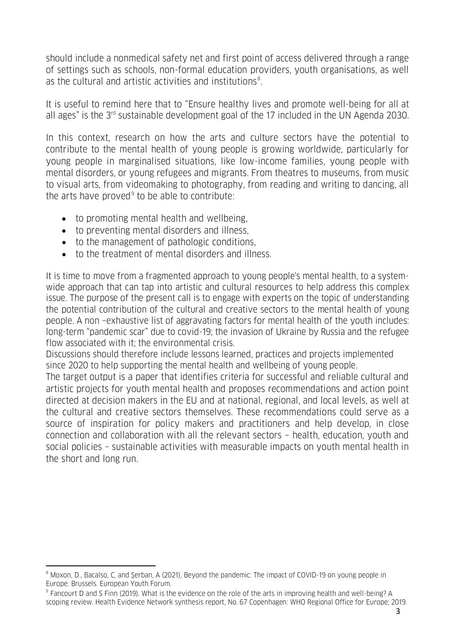should include a nonmedical safety net and first point of access delivered through a range of settings such as schools, non-formal education providers, youth organisations, as well as the cultural and artistic activities and institutions $^8$  $^8$ .

It is useful to remind here that to "Ensure healthy lives and promote well-being for all at all ages" is the  $3<sup>rd</sup>$  sustainable development goal of the 17 included in the UN Agenda 2030.

In this context, research on how the arts and culture sectors have the potential to contribute to the mental health of young people is growing worldwide, particularly for young people in marginalised situations, like low-income families, young people with mental disorders, or young refugees and migrants. From theatres to museums, from music to visual arts, from videomaking to photography, from reading and writing to dancing, all the arts have proved $9$  to be able to contribute:

- to promoting mental health and wellbeing,
- to preventing mental disorders and illness,
- to the management of pathologic conditions,
- to the treatment of mental disorders and illness.

It is time to move from a fragmented approach to young people's mental health, to a systemwide approach that can tap into artistic and cultural resources to help address this complex issue. The purpose of the present call is to engage with experts on the topic of understanding the potential contribution of the cultural and creative sectors to the mental health of young people. A non –exhaustive list of aggravating factors for mental health of the youth includes: long-term "pandemic scar" due to covid-19; the invasion of Ukraine by Russia and the refugee flow associated with it; the environmental crisis.

Discussions should therefore include lessons learned, practices and projects implemented since 2020 to help supporting the mental health and wellbeing of young people.

The target output is a paper that identifies criteria for successful and reliable cultural and artistic projects for youth mental health and proposes recommendations and action point directed at decision makers in the EU and at national, regional, and local levels, as well at the cultural and creative sectors themselves. These recommendations could serve as a source of inspiration for policy makers and practitioners and help develop, in close connection and collaboration with all the relevant sectors – health, education, youth and social policies – sustainable activities with measurable impacts on youth mental health in the short and long run.

 $\ddot{\phantom{a}}$ 

<span id="page-2-0"></span><sup>&</sup>lt;sup>8</sup> Moxon, D., Bacalso, C, and Şerban, A (2021), Beyond the pandemic: The impact of COVID-19 on young people in Europe. Brussels. European Youth Forum.<br><sup>9</sup> Fancourt D and S Finn (2019). What is the evidence on the role of the arts in improving health and well-being? A

<span id="page-2-1"></span>scoping review. Health Evidence Network synthesis report, No. 67 Copenhagen: WHO Regional Office for Europe; 2019.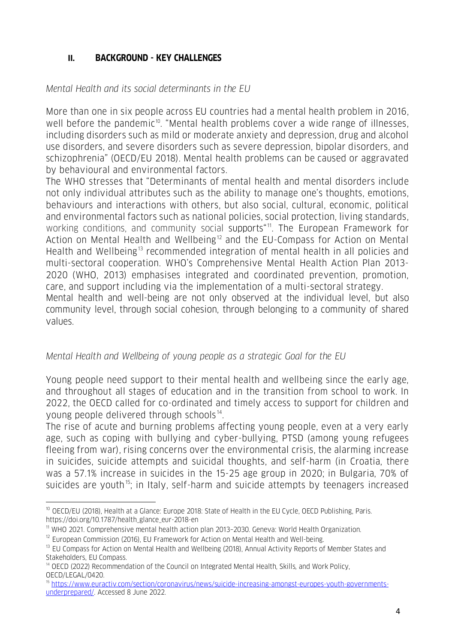## **II. BACKGROUND - KEY CHALLENGES**

## *Mental Health and its social determinants in the EU*

More than one in six people across EU countries had a mental health problem in 2016, well before the pandemic<sup>10</sup>. "Mental health problems cover a wide range of illnesses, including disorders such as mild or moderate anxiety and depression, drug and alcohol use disorders, and severe disorders such as severe depression, bipolar disorders, and schizophrenia" (OECD/EU 2018). Mental health problems can be caused or aggravated by behavioural and environmental factors.

The WHO stresses that "Determinants of mental health and mental disorders include not only individual attributes such as the ability to manage one's thoughts, emotions, behaviours and interactions with others, but also social, cultural, economic, political and environmental factors such as national policies, social protection, living standards, working conditions, and community social supports"<sup>11</sup>. The European Framework for Action on Mental Health and Wellbeing<sup>[12](#page-3-2)</sup> and the EU-Compass for Action on Mental Health and Wellbeing<sup>[13](#page-3-3)</sup> recommended integration of mental health in all policies and multi-sectoral cooperation. WHO's Comprehensive Mental Health Action Plan 2013- 2020 (WHO, 2013) emphasises integrated and coordinated prevention, promotion, care, and support including via the implementation of a multi-sectoral strategy.

Mental health and well-being are not only observed at the individual level, but also community level, through social cohesion, through belonging to a community of shared values.

## *Mental Health and Wellbeing of young people as a strategic Goal for the EU*

Young people need support to their mental health and wellbeing since the early age, and throughout all stages of education and in the transition from school to work. In 2022, the OECD called for co-ordinated and timely access to support for children and young people delivered through schools $14$ .

The rise of acute and burning problems affecting young people, even at a very early age, such as coping with bullying and cyber-bullying, PTSD (among young refugees fleeing from war), rising concerns over the environmental crisis, the alarming increase in suicides, suicide attempts and suicidal thoughts, and self-harm (in Croatia, there was a 57.1% increase in suicides in the 15-25 age group in 2020; in Bulgaria, 70% of suicides are youth<sup>15</sup>; in Italy, self-harm and suicide attempts by teenagers increased

<span id="page-3-0"></span> $\overline{a}$ <sup>10</sup> OECD/EU (2018), Health at a Glance: Europe 2018: State of Health in the EU Cycle, OECD Publishing, Paris. https://doi.org/10.1787/health\_glance\_eur-2018-en

<span id="page-3-1"></span><sup>&</sup>lt;sup>11</sup> WHO 2021. Comprehensive mental health action plan 2013-2030. Geneva: World Health Organization.

<span id="page-3-2"></span> $12$  European Commission (2016), EU Framework for Action on Mental Health and Well-being.

<span id="page-3-3"></span><sup>&</sup>lt;sup>13</sup> EU Compass for Action on Mental Health and Wellbeing (2018), Annual Activity Reports of Member States and Stakeholders, EU Compass.

<span id="page-3-4"></span><sup>&</sup>lt;sup>14</sup> OECD (2022) Recommendation of the Council on Integrated Mental Health, Skills, and Work Policy, OECD/LEGAL/0420.

<span id="page-3-5"></span><sup>15</sup> [https://www.euractiv.com/section/coronavirus/news/suicide-increasing-amongst-europes-youth-governments](https://www.euractiv.com/section/coronavirus/news/suicide-increasing-amongst-europes-youth-governments-underprepared/)[underprepared/.](https://www.euractiv.com/section/coronavirus/news/suicide-increasing-amongst-europes-youth-governments-underprepared/) Accessed 8 June 2022.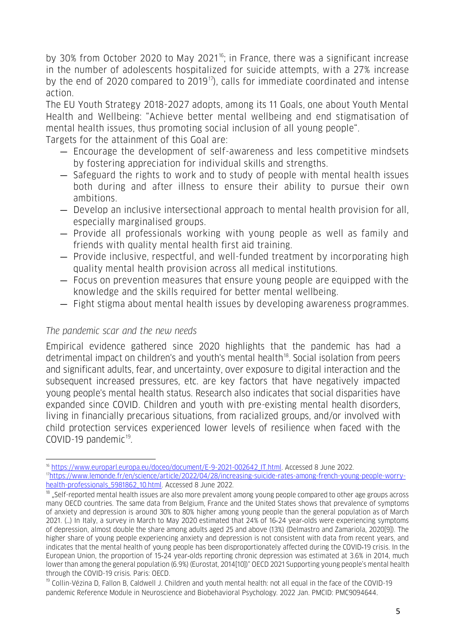by 30% from October 2020 to May 2021<sup>[16](#page-4-0)</sup>; in France, there was a significant increase in the number of adolescents hospitalized for suicide attempts, with a 27% increase by the end of 2020 compared to 2019<sup>17</sup>), calls for immediate coordinated and intense action.

The EU Youth Strategy 2018-2027 adopts, among its 11 Goals, one about Youth Mental Health and Wellbeing: "Achieve better mental wellbeing and end stigmatisation of mental health issues, thus promoting social inclusion of all young people".

Targets for the attainment of this Goal are:

- Encourage the development of self-awareness and less competitive mindsets by fostering appreciation for individual skills and strengths.
- Safeguard the rights to work and to study of people with mental health issues both during and after illness to ensure their ability to pursue their own ambitions.
- Develop an inclusive intersectional approach to mental health provision for all, especially marginalised groups.
- Provide all professionals working with young people as well as family and friends with quality mental health first aid training.
- Provide inclusive, respectful, and well-funded treatment by incorporating high quality mental health provision across all medical institutions.
- Focus on prevention measures that ensure young people are equipped with the knowledge and the skills required for better mental wellbeing.
- Fight stigma about mental health issues by developing awareness programmes.

## *The pandemic scar and the new needs*

Empirical evidence gathered since 2020 highlights that the pandemic has had a detrimental impact on children's and youth's mental health<sup>[18](#page-4-2)</sup>. Social isolation from peers and significant adults, fear, and uncertainty, over exposure to digital interaction and the subsequent increased pressures, etc. are key factors that have negatively impacted young people's mental health status. Research also indicates that social disparities have expanded since COVID. Children and youth with pre-existing mental health disorders, living in financially precarious situations, from racialized groups, and/or involved with child protection services experienced lower levels of resilience when faced with the COVID-[19](#page-4-3) pandemic $19$ .

 $\overline{a}$ <sup>16</sup> [https://www.europarl.europa.eu/doceo/document/E-9-2021-002642\\_IT.html.](https://www.europarl.europa.eu/doceo/document/E-9-2021-002642_IT.html) Accessed 8 June 2022.

<span id="page-4-1"></span><span id="page-4-0"></span>[<sup>17</sup>https://www.lemonde.fr/en/science/article/2022/04/28/increasing-suicide-rates-among-french-young-people-worry](https://www.lemonde.fr/en/science/article/2022/04/28/increasing-suicide-rates-among-french-young-people-worry-health-professionals_5981862_10.html)[health-professionals\\_5981862\\_10.html.](https://www.lemonde.fr/en/science/article/2022/04/28/increasing-suicide-rates-among-french-young-people-worry-health-professionals_5981862_10.html) Accessed 8 June 2022.

<span id="page-4-2"></span> $18$  "Self-reported mental health issues are also more prevalent among young people compared to other age groups across many OECD countries. The same data from Belgium, France and the United States shows that prevalence of symptoms of anxiety and depression is around 30% to 80% higher among young people than the general population as of March 2021. (…) In Italy, a survey in March to May 2020 estimated that 24% of 16‑24 year‑olds were experiencing symptoms of depression, almost double the share among adults aged 25 and above (13%) (Delmastro and Zamariola, 2020[9]). The higher share of young people experiencing anxiety and depression is not consistent with data from recent years, and indicates that the mental health of young people has been disproportionately affected during the COVID-19 crisis. In the European Union, the proportion of 15‑24 year‑olds reporting chronic depression was estimated at 3.6% in 2014, much lower than among the general population (6.9%) (Eurostat, 2014[10])" OECD 2021 Supporting young people's mental health through the COVID-19 crisis. Paris: OECD.

<span id="page-4-3"></span><sup>&</sup>lt;sup>19</sup> Collin-Vézina D, Fallon B, Caldwell J. Children and youth mental health: not all equal in the face of the COVID-19 pandemic Reference Module in Neuroscience and Biobehavioral Psychology. 2022 Jan. PMCID: PMC9094644.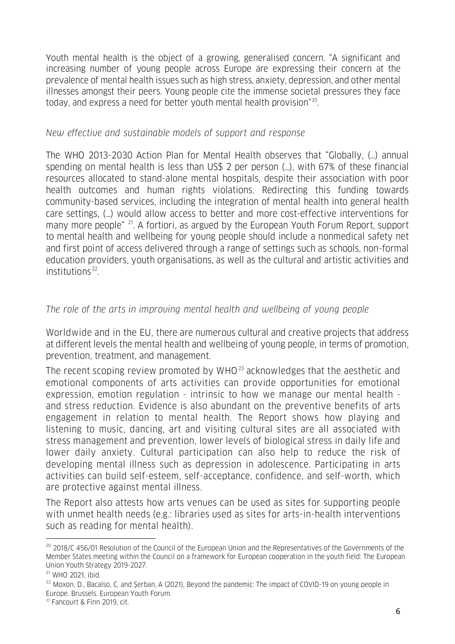Youth mental health is the object of a growing, generalised concern. "A significant and increasing number of young people across Europe are expressing their concern at the prevalence of mental health issues such as high stress, anxiety, depression, and other mental illnesses amongst their peers. Young people cite the immense societal pressures they face today, and express a need for better youth mental health provision"[20](#page-5-0).

#### *New effective and sustainable models of support and response*

The WHO 2013-2030 Action Plan for Mental Health observes that "Globally, (…) annual spending on mental health is less than US\$ 2 per person (…), with 67% of these financial resources allocated to stand-alone mental hospitals, despite their association with poor health outcomes and human rights violations. Redirecting this funding towards community-based services, including the integration of mental health into general health care settings, (…) would allow access to better and more cost-effective interventions for many more people <sup>[21](#page-5-1)</sup>. A fortiori, as argued by the European Youth Forum Report, support to mental health and wellbeing for young people should include a nonmedical safety net and first point of access delivered through a range of settings such as schools, non-formal education providers, youth organisations, as well as the cultural and artistic activities and  $instituting <sup>22</sup>$  $instituting <sup>22</sup>$  $instituting <sup>22</sup>$ .

## *The role of the arts in improving mental health and wellbeing of young people*

Worldwide and in the EU, there are numerous cultural and creative projects that address at different levels the mental health and wellbeing of young people, in terms of promotion, prevention, treatment, and management.

The recent scoping review promoted by  $WHO^{23}$  $WHO^{23}$  $WHO^{23}$  acknowledges that the aesthetic and emotional components of arts activities can provide opportunities for emotional expression, emotion regulation - intrinsic to how we manage our mental health and stress reduction. Evidence is also abundant on the preventive benefits of arts engagement in relation to mental health. The Report shows how playing and listening to music, dancing, art and visiting cultural sites are all associated with stress management and prevention, lower levels of biological stress in daily life and lower daily anxiety. Cultural participation can also help to reduce the risk of developing mental illness such as depression in adolescence. Participating in arts activities can build self-esteem, self-acceptance, confidence, and self-worth, which are protective against mental illness.

The Report also attests how arts venues can be used as sites for supporting people with unmet health needs (e.g.: libraries used as sites for arts-in-health interventions such as reading for mental health).

 $\ddot{\phantom{a}}$ 

<span id="page-5-0"></span><sup>&</sup>lt;sup>20</sup> 2018/C 456/01 Resolution of the Council of the European Union and the Representatives of the Governments of the Member States meeting within the Council on a framework for European cooperation in the youth field: The European Union Youth Strategy 2019-2027.

<span id="page-5-1"></span> $21$  WHO 2021, ibid.

<span id="page-5-2"></span><sup>&</sup>lt;sup>22</sup> Moxon, D., Bacalso, C, and Şerban, A (2021), Beyond the pandemic: The impact of COVID-19 on young people in Europe. Brussels. European Youth Forum. 23 Fancourt & Finn 2019, cit.

<span id="page-5-3"></span>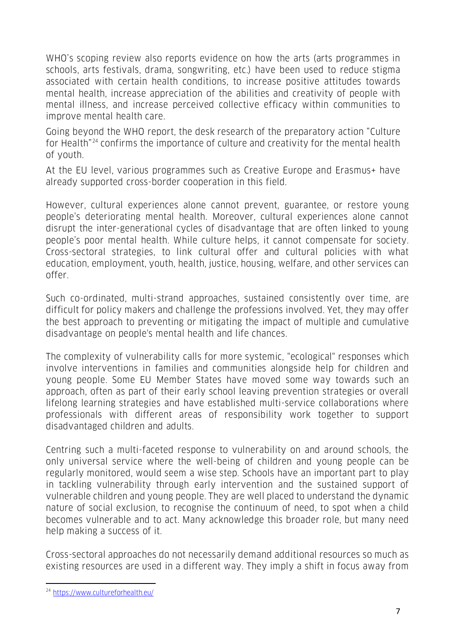WHO's scoping review also reports evidence on how the arts (arts programmes in schools, arts festivals, drama, songwriting, etc.) have been used to reduce stigma associated with certain health conditions, to increase positive attitudes towards mental health, increase appreciation of the abilities and creativity of people with mental illness, and increase perceived collective efficacy within communities to improve mental health care.

Going beyond the WHO report, the desk research of the preparatory action "Culture for Health"[24](#page-6-0) confirms the importance of culture and creativity for the mental health of youth.

At the EU level, various programmes such as Creative Europe and Erasmus+ have already supported cross-border cooperation in this field.

However, cultural experiences alone cannot prevent, guarantee, or restore young people's deteriorating mental health. Moreover, cultural experiences alone cannot disrupt the inter-generational cycles of disadvantage that are often linked to young people's poor mental health. While culture helps, it cannot compensate for society. Cross-sectoral strategies, to link cultural offer and cultural policies with what education, employment, youth, health, justice, housing, welfare, and other services can offer.

Such co-ordinated, multi-strand approaches, sustained consistently over time, are difficult for policy makers and challenge the professions involved. Yet, they may offer the best approach to preventing or mitigating the impact of multiple and cumulative disadvantage on people's mental health and life chances.

The complexity of vulnerability calls for more systemic, "ecological" responses which involve interventions in families and communities alongside help for children and young people. Some EU Member States have moved some way towards such an approach, often as part of their early school leaving prevention strategies or overall lifelong learning strategies and have established multi-service collaborations where professionals with different areas of responsibility work together to support disadvantaged children and adults.

Centring such a multi-faceted response to vulnerability on and around schools, the only universal service where the well-being of children and young people can be regularly monitored, would seem a wise step. Schools have an important part to play in tackling vulnerability through early intervention and the sustained support of vulnerable children and young people. They are well placed to understand the dynamic nature of social exclusion, to recognise the continuum of need, to spot when a child becomes vulnerable and to act. Many acknowledge this broader role, but many need help making a success of it.

Cross-sectoral approaches do not necessarily demand additional resources so much as existing resources are used in a different way. They imply a shift in focus away from

 $\overline{a}$ 

<span id="page-6-0"></span><sup>24</sup> <https://www.cultureforhealth.eu/>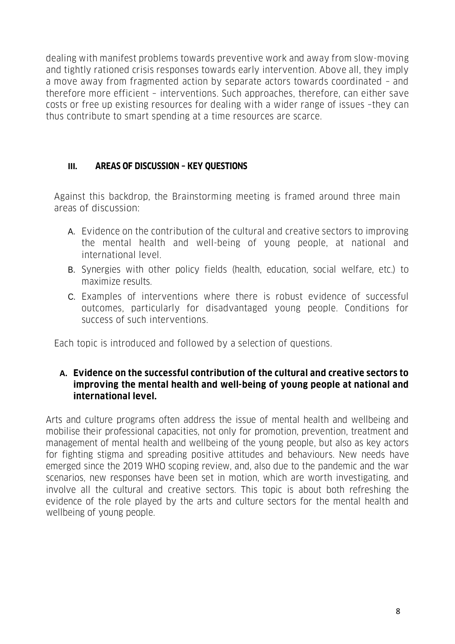dealing with manifest problems towards preventive work and away from slow-moving and tightly rationed crisis responses towards early intervention. Above all, they imply a move away from fragmented action by separate actors towards coordinated – and therefore more efficient – interventions. Such approaches, therefore, can either save costs or free up existing resources for dealing with a wider range of issues –they can thus contribute to smart spending at a time resources are scarce.

## **III. AREAS OF DISCUSSION – KEY QUESTIONS**

Against this backdrop, the Brainstorming meeting is framed around three main areas of discussion:

- A. Evidence on the contribution of the cultural and creative sectors to improving the mental health and well-being of young people, at national and international level.
- B. Synergies with other policy fields (health, education, social welfare, etc.) to maximize results.
- C. Examples of interventions where there is robust evidence of successful outcomes, particularly for disadvantaged young people. Conditions for success of such interventions.

Each topic is introduced and followed by a selection of questions.

#### **A. Evidence on the successful contribution of the cultural and creative sectors to improving the mental health and well-being of young people at national and international level.**

Arts and culture programs often address the issue of mental health and wellbeing and mobilise their professional capacities, not only for promotion, prevention, treatment and management of mental health and wellbeing of the young people, but also as key actors for fighting stigma and spreading positive attitudes and behaviours. New needs have emerged since the 2019 WHO scoping review, and, also due to the pandemic and the war scenarios, new responses have been set in motion, which are worth investigating, and involve all the cultural and creative sectors. This topic is about both refreshing the evidence of the role played by the arts and culture sectors for the mental health and wellbeing of young people.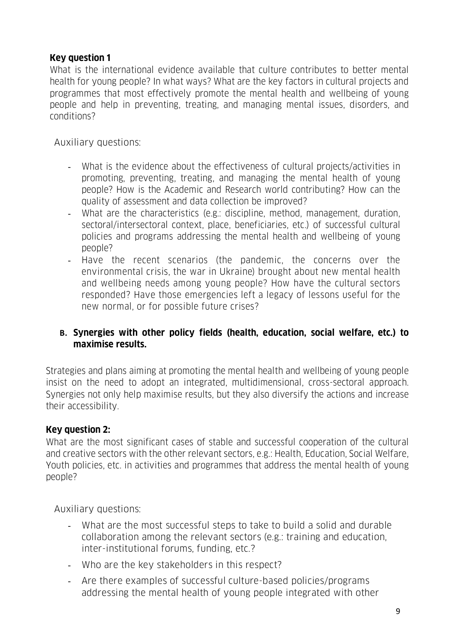## **Key question 1**

What is the international evidence available that culture contributes to better mental health for young people? In what ways? What are the key factors in cultural projects and programmes that most effectively promote the mental health and wellbeing of young people and help in preventing, treating, and managing mental issues, disorders, and conditions?

Auxiliary questions:

- What is the evidence about the effectiveness of cultural projects/activities in promoting, preventing, treating, and managing the mental health of young people? How is the Academic and Research world contributing? How can the quality of assessment and data collection be improved?
- What are the characteristics (e.g.: discipline, method, management, duration, sectoral/intersectoral context, place, beneficiaries, etc.) of successful cultural policies and programs addressing the mental health and wellbeing of young people?
- Have the recent scenarios (the pandemic, the concerns over the environmental crisis, the war in Ukraine) brought about new mental health and wellbeing needs among young people? How have the cultural sectors responded? Have those emergencies left a legacy of lessons useful for the new normal, or for possible future crises?

## **B. Synergies with other policy fields (health, education, social welfare, etc.) to maximise results.**

Strategies and plans aiming at promoting the mental health and wellbeing of young people insist on the need to adopt an integrated, multidimensional, cross-sectoral approach. Synergies not only help maximise results, but they also diversify the actions and increase their accessibility.

## **Key question 2:**

What are the most significant cases of stable and successful cooperation of the cultural and creative sectors with the other relevant sectors, e.g.: Health, Education, Social Welfare, Youth policies, etc. in activities and programmes that address the mental health of young people?

Auxiliary questions:

- What are the most successful steps to take to build a solid and durable collaboration among the relevant sectors (e.g.: training and education, inter-institutional forums, funding, etc.?
- Who are the key stakeholders in this respect?
- Are there examples of successful culture-based policies/programs addressing the mental health of young people integrated with other